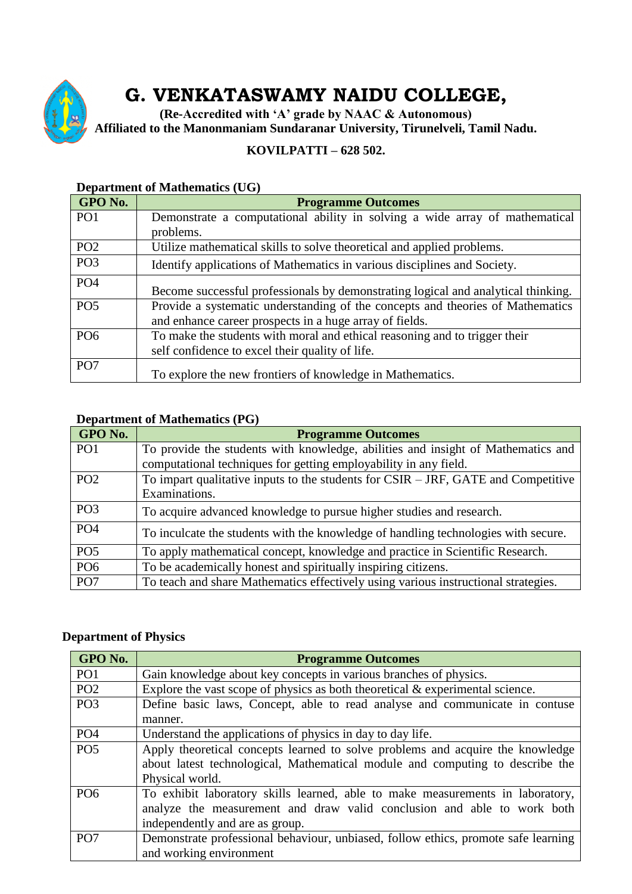

# **G. VENKATASWAMY NAIDU COLLEGE,**

**(Re-Accredited with 'A' grade by NAAC & Autonomous) Affiliated to the Manonmaniam Sundaranar University, Tirunelveli, Tamil Nadu.**

#### **KOVILPATTI – 628 502.**

| GPO No.         | <b>Programme Outcomes</b>                                                         |
|-----------------|-----------------------------------------------------------------------------------|
| PO <sub>1</sub> | Demonstrate a computational ability in solving a wide array of mathematical       |
|                 | problems.                                                                         |
| PO <sub>2</sub> | Utilize mathematical skills to solve theoretical and applied problems.            |
| PO <sub>3</sub> | Identify applications of Mathematics in various disciplines and Society.          |
| PO <sub>4</sub> | Become successful professionals by demonstrating logical and analytical thinking. |
| PO <sub>5</sub> | Provide a systematic understanding of the concepts and theories of Mathematics    |
|                 | and enhance career prospects in a huge array of fields.                           |
| PO <sub>6</sub> | To make the students with moral and ethical reasoning and to trigger their        |
|                 | self confidence to excel their quality of life.                                   |
| PO <sub>7</sub> | To explore the new frontiers of knowledge in Mathematics.                         |

#### **Department of Mathematics (UG)**

#### **Department of Mathematics (PG)**

| GPO No.         | <b>Programme Outcomes</b>                                                            |
|-----------------|--------------------------------------------------------------------------------------|
| PO <sub>1</sub> | To provide the students with knowledge, abilities and insight of Mathematics and     |
|                 | computational techniques for getting employability in any field.                     |
| PO <sub>2</sub> | To impart qualitative inputs to the students for $CSIR - JRF$ , GATE and Competitive |
|                 | Examinations.                                                                        |
| PO <sub>3</sub> | To acquire advanced knowledge to pursue higher studies and research.                 |
| PO <sub>4</sub> | To inculcate the students with the knowledge of handling technologies with secure.   |
| PO <sub>5</sub> | To apply mathematical concept, knowledge and practice in Scientific Research.        |
| PO <sub>6</sub> | To be academically honest and spiritually inspiring citizens.                        |
| PO <sub>7</sub> | To teach and share Mathematics effectively using various instructional strategies.   |

#### **Department of Physics**

| GPO No.         | <b>Programme Outcomes</b>                                                          |
|-----------------|------------------------------------------------------------------------------------|
| PO <sub>1</sub> | Gain knowledge about key concepts in various branches of physics.                  |
| PO <sub>2</sub> | Explore the vast scope of physics as both theoretical $\&$ experimental science.   |
| PO <sub>3</sub> | Define basic laws, Concept, able to read analyse and communicate in contuse        |
|                 | manner.                                                                            |
| PO <sub>4</sub> | Understand the applications of physics in day to day life.                         |
| PO <sub>5</sub> | Apply theoretical concepts learned to solve problems and acquire the knowledge     |
|                 | about latest technological, Mathematical module and computing to describe the      |
|                 | Physical world.                                                                    |
| PO <sub>6</sub> | To exhibit laboratory skills learned, able to make measurements in laboratory,     |
|                 | analyze the measurement and draw valid conclusion and able to work both            |
|                 | independently and are as group.                                                    |
| PO <sub>7</sub> | Demonstrate professional behaviour, unbiased, follow ethics, promote safe learning |
|                 | and working environment                                                            |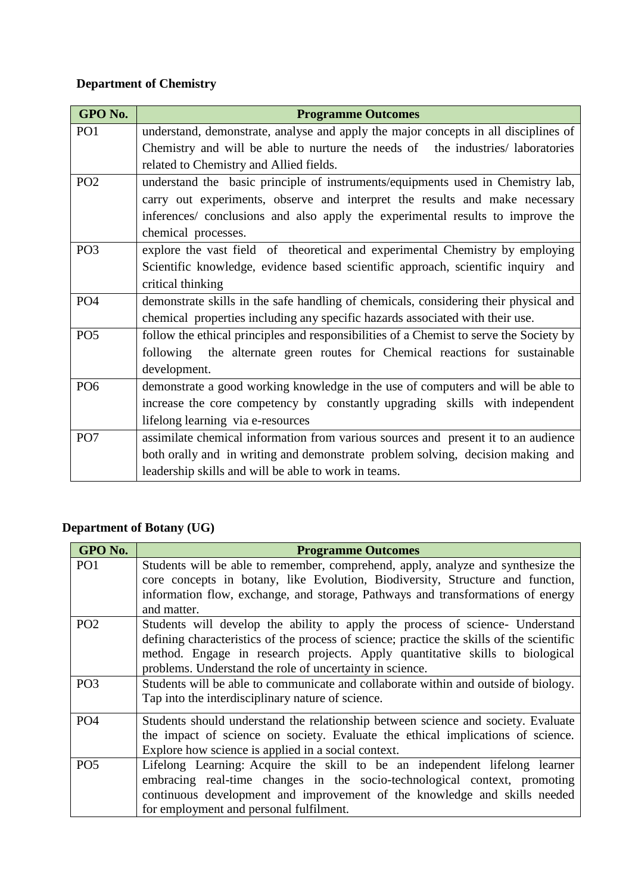## **Department of Chemistry**

| GPO No.         | <b>Programme Outcomes</b>                                                               |
|-----------------|-----------------------------------------------------------------------------------------|
| PO <sub>1</sub> | understand, demonstrate, analyse and apply the major concepts in all disciplines of     |
|                 | Chemistry and will be able to nurture the needs of the industries/ laboratories         |
|                 | related to Chemistry and Allied fields.                                                 |
| PO <sub>2</sub> | understand the basic principle of instruments/equipments used in Chemistry lab,         |
|                 | carry out experiments, observe and interpret the results and make necessary             |
|                 | inferences/ conclusions and also apply the experimental results to improve the          |
|                 | chemical processes.                                                                     |
| PO <sub>3</sub> | explore the vast field of theoretical and experimental Chemistry by employing           |
|                 | Scientific knowledge, evidence based scientific approach, scientific inquiry and        |
|                 | critical thinking                                                                       |
| PO <sub>4</sub> | demonstrate skills in the safe handling of chemicals, considering their physical and    |
|                 | chemical properties including any specific hazards associated with their use.           |
| PO <sub>5</sub> | follow the ethical principles and responsibilities of a Chemist to serve the Society by |
|                 | following the alternate green routes for Chemical reactions for sustainable             |
|                 | development.                                                                            |
| PO <sub>6</sub> | demonstrate a good working knowledge in the use of computers and will be able to        |
|                 | increase the core competency by constantly upgrading skills with independent            |
|                 | lifelong learning via e-resources                                                       |
| PO <sub>7</sub> | assimilate chemical information from various sources and present it to an audience      |
|                 | both orally and in writing and demonstrate problem solving, decision making and         |
|                 | leadership skills and will be able to work in teams.                                    |

### **Department of Botany (UG)**

| GPO No.         | <b>Programme Outcomes</b>                                                                 |
|-----------------|-------------------------------------------------------------------------------------------|
| PO <sub>1</sub> | Students will be able to remember, comprehend, apply, analyze and synthesize the          |
|                 | core concepts in botany, like Evolution, Biodiversity, Structure and function,            |
|                 | information flow, exchange, and storage, Pathways and transformations of energy           |
|                 | and matter.                                                                               |
| PO <sub>2</sub> | Students will develop the ability to apply the process of science- Understand             |
|                 | defining characteristics of the process of science; practice the skills of the scientific |
|                 | method. Engage in research projects. Apply quantitative skills to biological              |
|                 | problems. Understand the role of uncertainty in science.                                  |
| PO <sub>3</sub> | Students will be able to communicate and collaborate within and outside of biology.       |
|                 | Tap into the interdisciplinary nature of science.                                         |
| PO <sub>4</sub> | Students should understand the relationship between science and society. Evaluate         |
|                 | the impact of science on society. Evaluate the ethical implications of science.           |
|                 | Explore how science is applied in a social context.                                       |
| PO <sub>5</sub> | Lifelong Learning: Acquire the skill to be an independent lifelong learner                |
|                 | embracing real-time changes in the socio-technological context, promoting                 |
|                 | continuous development and improvement of the knowledge and skills needed                 |
|                 | for employment and personal fulfilment.                                                   |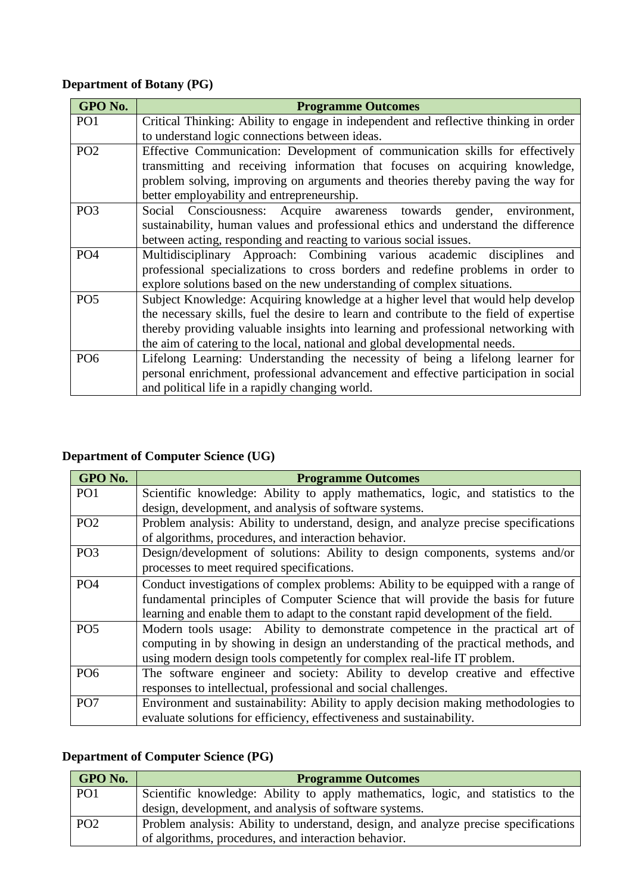### **Department of Botany (PG)**

| GPO No.         | <b>Programme Outcomes</b>                                                                                                                                                                                                                                                                                                                       |
|-----------------|-------------------------------------------------------------------------------------------------------------------------------------------------------------------------------------------------------------------------------------------------------------------------------------------------------------------------------------------------|
| PO <sub>1</sub> | Critical Thinking: Ability to engage in independent and reflective thinking in order                                                                                                                                                                                                                                                            |
|                 | to understand logic connections between ideas.                                                                                                                                                                                                                                                                                                  |
| PO <sub>2</sub> | Effective Communication: Development of communication skills for effectively<br>transmitting and receiving information that focuses on acquiring knowledge,<br>problem solving, improving on arguments and theories thereby paving the way for                                                                                                  |
|                 | better employability and entrepreneurship.                                                                                                                                                                                                                                                                                                      |
| PO <sub>3</sub> | Social Consciousness: Acquire awareness towards gender, environment,<br>sustainability, human values and professional ethics and understand the difference<br>between acting, responding and reacting to various social issues.                                                                                                                 |
| PO <sub>4</sub> | Multidisciplinary Approach: Combining various academic disciplines and<br>professional specializations to cross borders and redefine problems in order to<br>explore solutions based on the new understanding of complex situations.                                                                                                            |
| PO <sub>5</sub> | Subject Knowledge: Acquiring knowledge at a higher level that would help develop<br>the necessary skills, fuel the desire to learn and contribute to the field of expertise<br>thereby providing valuable insights into learning and professional networking with<br>the aim of catering to the local, national and global developmental needs. |
| PO <sub>6</sub> | Lifelong Learning: Understanding the necessity of being a lifelong learner for<br>personal enrichment, professional advancement and effective participation in social<br>and political life in a rapidly changing world.                                                                                                                        |

## **Department of Computer Science (UG)**

| GPO No.         | <b>Programme Outcomes</b>                                                           |
|-----------------|-------------------------------------------------------------------------------------|
| PO <sub>1</sub> | Scientific knowledge: Ability to apply mathematics, logic, and statistics to the    |
|                 | design, development, and analysis of software systems.                              |
| PO <sub>2</sub> | Problem analysis: Ability to understand, design, and analyze precise specifications |
|                 | of algorithms, procedures, and interaction behavior.                                |
| PO <sub>3</sub> | Design/development of solutions: Ability to design components, systems and/or       |
|                 | processes to meet required specifications.                                          |
| PO <sub>4</sub> | Conduct investigations of complex problems: Ability to be equipped with a range of  |
|                 | fundamental principles of Computer Science that will provide the basis for future   |
|                 | learning and enable them to adapt to the constant rapid development of the field.   |
| PO <sub>5</sub> | Modern tools usage: Ability to demonstrate competence in the practical art of       |
|                 | computing in by showing in design an understanding of the practical methods, and    |
|                 | using modern design tools competently for complex real-life IT problem.             |
| PO <sub>6</sub> | The software engineer and society: Ability to develop creative and effective        |
|                 | responses to intellectual, professional and social challenges.                      |
| PO <sub>7</sub> | Environment and sustainability: Ability to apply decision making methodologies to   |
|                 | evaluate solutions for efficiency, effectiveness and sustainability.                |

### **Department of Computer Science (PG)**

| GPO No.         | <b>Programme Outcomes</b>                                                           |
|-----------------|-------------------------------------------------------------------------------------|
| PO <sub>1</sub> | Scientific knowledge: Ability to apply mathematics, logic, and statistics to the    |
|                 | design, development, and analysis of software systems.                              |
| PO <sub>2</sub> | Problem analysis: Ability to understand, design, and analyze precise specifications |
|                 | of algorithms, procedures, and interaction behavior.                                |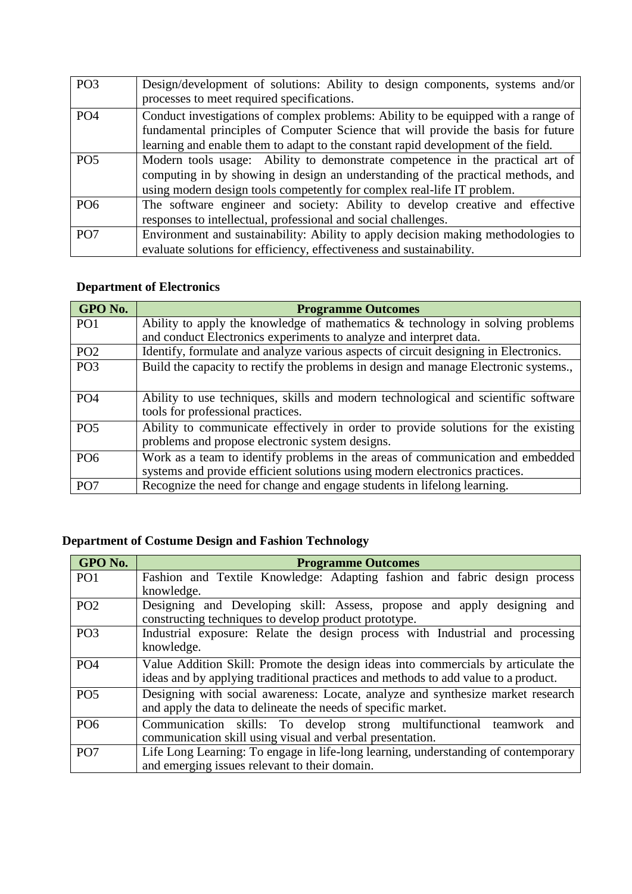| PO <sub>3</sub> | Design/development of solutions: Ability to design components, systems and/or<br>processes to meet required specifications.                                                                                                                                  |
|-----------------|--------------------------------------------------------------------------------------------------------------------------------------------------------------------------------------------------------------------------------------------------------------|
| PO <sub>4</sub> | Conduct investigations of complex problems: Ability to be equipped with a range of<br>fundamental principles of Computer Science that will provide the basis for future<br>learning and enable them to adapt to the constant rapid development of the field. |
| PO <sub>5</sub> | Modern tools usage: Ability to demonstrate competence in the practical art of<br>computing in by showing in design an understanding of the practical methods, and<br>using modern design tools competently for complex real-life IT problem.                 |
| PO <sub>6</sub> | The software engineer and society: Ability to develop creative and effective<br>responses to intellectual, professional and social challenges.                                                                                                               |
| PO <sub>7</sub> | Environment and sustainability: Ability to apply decision making methodologies to<br>evaluate solutions for efficiency, effectiveness and sustainability.                                                                                                    |

### **Department of Electronics**

| GPO No.         | <b>Programme Outcomes</b>                                                                                                            |
|-----------------|--------------------------------------------------------------------------------------------------------------------------------------|
| PO <sub>1</sub> | Ability to apply the knowledge of mathematics $\&$ technology in solving problems                                                    |
|                 | and conduct Electronics experiments to analyze and interpret data.                                                                   |
| PO <sub>2</sub> | Identify, formulate and analyze various aspects of circuit designing in Electronics.                                                 |
| PO <sub>3</sub> | Build the capacity to rectify the problems in design and manage Electronic systems.,                                                 |
| PO <sub>4</sub> | Ability to use techniques, skills and modern technological and scientific software<br>tools for professional practices.              |
| PO <sub>5</sub> | Ability to communicate effectively in order to provide solutions for the existing<br>problems and propose electronic system designs. |
| PO <sub>6</sub> | Work as a team to identify problems in the areas of communication and embedded                                                       |
|                 | systems and provide efficient solutions using modern electronics practices.                                                          |
| PO <sub>7</sub> | Recognize the need for change and engage students in lifelong learning.                                                              |

### **Department of Costume Design and Fashion Technology**

| GPO No.         | <b>Programme Outcomes</b>                                                                                                                                               |
|-----------------|-------------------------------------------------------------------------------------------------------------------------------------------------------------------------|
| PO <sub>1</sub> | Fashion and Textile Knowledge: Adapting fashion and fabric design process<br>knowledge.                                                                                 |
| PO <sub>2</sub> | Designing and Developing skill: Assess, propose and apply designing and<br>constructing techniques to develop product prototype.                                        |
| PO <sub>3</sub> | Industrial exposure: Relate the design process with Industrial and processing<br>knowledge.                                                                             |
| PO <sub>4</sub> | Value Addition Skill: Promote the design ideas into commercials by articulate the<br>ideas and by applying traditional practices and methods to add value to a product. |
| PO <sub>5</sub> | Designing with social awareness: Locate, analyze and synthesize market research<br>and apply the data to delineate the needs of specific market.                        |
| PO <sub>6</sub> | Communication skills: To develop strong multifunctional teamwork<br>and<br>communication skill using visual and verbal presentation.                                    |
| PO <sub>7</sub> | Life Long Learning: To engage in life-long learning, understanding of contemporary<br>and emerging issues relevant to their domain.                                     |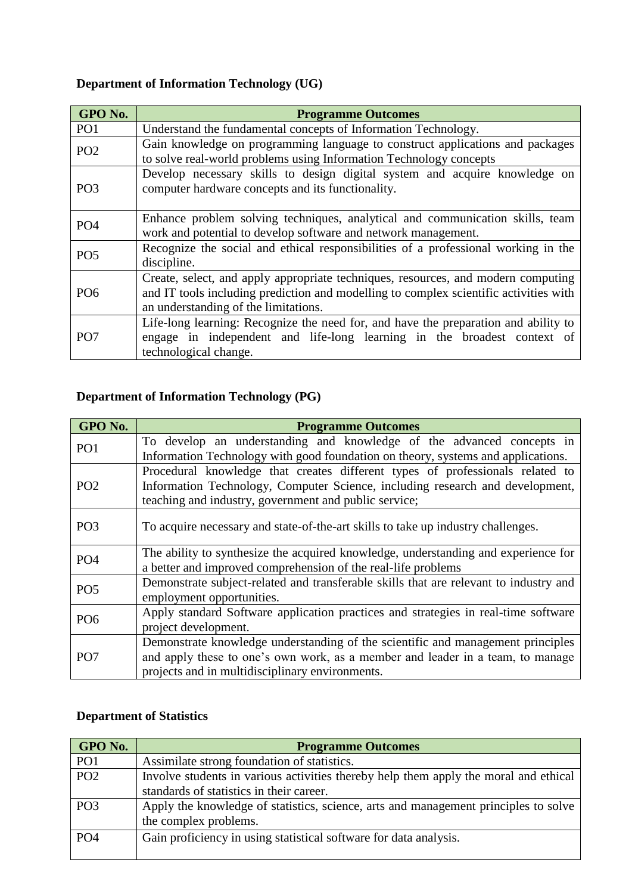### **Department of Information Technology (UG)**

| GPO No.         | <b>Programme Outcomes</b>                                                                                                                                                                                          |
|-----------------|--------------------------------------------------------------------------------------------------------------------------------------------------------------------------------------------------------------------|
| PO <sub>1</sub> | Understand the fundamental concepts of Information Technology.                                                                                                                                                     |
| PO <sub>2</sub> | Gain knowledge on programming language to construct applications and packages<br>to solve real-world problems using Information Technology concepts                                                                |
| PO <sub>3</sub> | Develop necessary skills to design digital system and acquire knowledge on<br>computer hardware concepts and its functionality.                                                                                    |
| PO <sub>4</sub> | Enhance problem solving techniques, analytical and communication skills, team<br>work and potential to develop software and network management.                                                                    |
| PO <sub>5</sub> | Recognize the social and ethical responsibilities of a professional working in the<br>discipline.                                                                                                                  |
| PO <sub>6</sub> | Create, select, and apply appropriate techniques, resources, and modern computing<br>and IT tools including prediction and modelling to complex scientific activities with<br>an understanding of the limitations. |
| PO <sub>7</sub> | Life-long learning: Recognize the need for, and have the preparation and ability to<br>engage in independent and life-long learning in the broadest context of<br>technological change.                            |

## **Department of Information Technology (PG)**

| GPO No.         | <b>Programme Outcomes</b>                                                                                                                                                                                               |
|-----------------|-------------------------------------------------------------------------------------------------------------------------------------------------------------------------------------------------------------------------|
| PO <sub>1</sub> | To develop an understanding and knowledge of the advanced concepts in<br>Information Technology with good foundation on theory, systems and applications.                                                               |
| PO <sub>2</sub> | Procedural knowledge that creates different types of professionals related to<br>Information Technology, Computer Science, including research and development,<br>teaching and industry, government and public service; |
| PO <sub>3</sub> | To acquire necessary and state-of-the-art skills to take up industry challenges.                                                                                                                                        |
| PO <sub>4</sub> | The ability to synthesize the acquired knowledge, understanding and experience for<br>a better and improved comprehension of the real-life problems                                                                     |
| PO <sub>5</sub> | Demonstrate subject-related and transferable skills that are relevant to industry and<br>employment opportunities.                                                                                                      |
| PO <sub>6</sub> | Apply standard Software application practices and strategies in real-time software<br>project development.                                                                                                              |
| PO <sub>7</sub> | Demonstrate knowledge understanding of the scientific and management principles<br>and apply these to one's own work, as a member and leader in a team, to manage<br>projects and in multidisciplinary environments.    |

#### **Department of Statistics**

| GPO No.         | <b>Programme Outcomes</b>                                                                                    |
|-----------------|--------------------------------------------------------------------------------------------------------------|
| PO <sub>1</sub> | Assimilate strong foundation of statistics.                                                                  |
| PO <sub>2</sub> | Involve students in various activities thereby help them apply the moral and ethical                         |
|                 | standards of statistics in their career.                                                                     |
| PO <sub>3</sub> | Apply the knowledge of statistics, science, arts and management principles to solve<br>the complex problems. |
| PO <sub>4</sub> | Gain proficiency in using statistical software for data analysis.                                            |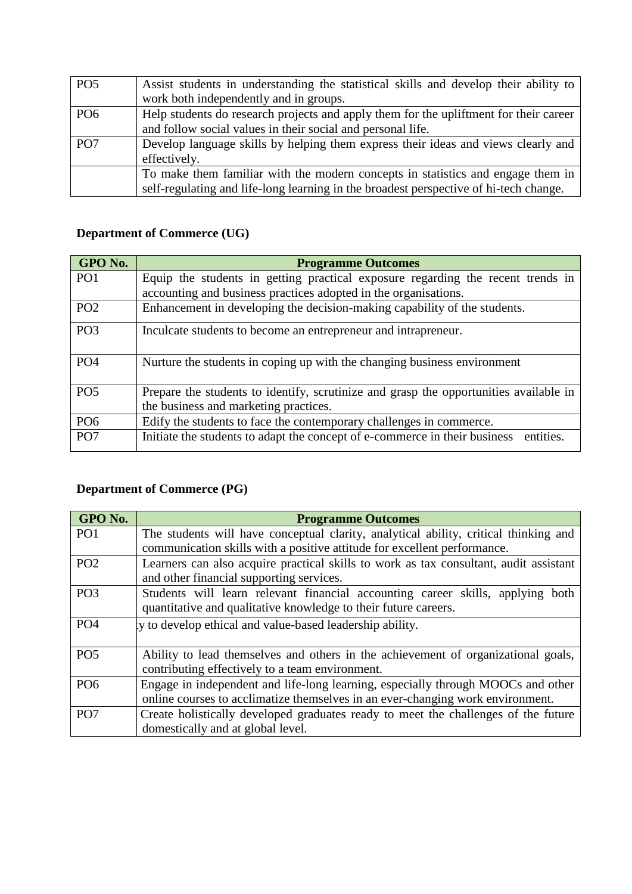| PO <sub>5</sub> | Assist students in understanding the statistical skills and develop their ability to  |
|-----------------|---------------------------------------------------------------------------------------|
|                 | work both independently and in groups.                                                |
| PO <sub>6</sub> | Help students do research projects and apply them for the upliftment for their career |
|                 | and follow social values in their social and personal life.                           |
| PO <sub>7</sub> | Develop language skills by helping them express their ideas and views clearly and     |
|                 | effectively.                                                                          |
|                 | To make them familiar with the modern concepts in statistics and engage them in       |
|                 | self-regulating and life-long learning in the broadest perspective of hi-tech change. |

## **Department of Commerce (UG)**

| GPO No.         | <b>Programme Outcomes</b>                                                               |
|-----------------|-----------------------------------------------------------------------------------------|
| PO <sub>1</sub> | Equip the students in getting practical exposure regarding the recent trends in         |
|                 | accounting and business practices adopted in the organisations.                         |
| PO <sub>2</sub> | Enhancement in developing the decision-making capability of the students.               |
| PO <sub>3</sub> | Inculcate students to become an entrepreneur and intrapreneur.                          |
| PO <sub>4</sub> | Nurture the students in coping up with the changing business environment                |
| PO <sub>5</sub> | Prepare the students to identify, scrutinize and grasp the opportunities available in   |
|                 | the business and marketing practices.                                                   |
| PO <sub>6</sub> | Edify the students to face the contemporary challenges in commerce.                     |
| PO <sub>7</sub> | entities.<br>Initiate the students to adapt the concept of e-commerce in their business |

## **Department of Commerce (PG)**

| GPO No.         | <b>Programme Outcomes</b>                                                             |
|-----------------|---------------------------------------------------------------------------------------|
| PO <sub>1</sub> | The students will have conceptual clarity, analytical ability, critical thinking and  |
|                 | communication skills with a positive attitude for excellent performance.              |
| PO <sub>2</sub> | Learners can also acquire practical skills to work as tax consultant, audit assistant |
|                 | and other financial supporting services.                                              |
| PO <sub>3</sub> | Students will learn relevant financial accounting career skills, applying both        |
|                 | quantitative and qualitative knowledge to their future careers.                       |
| PO <sub>4</sub> | ly to develop ethical and value-based leadership ability.                             |
|                 |                                                                                       |
| PO <sub>5</sub> | Ability to lead themselves and others in the achievement of organizational goals,     |
|                 | contributing effectively to a team environment.                                       |
| PO <sub>6</sub> | Engage in independent and life-long learning, especially through MOOCs and other      |
|                 | online courses to acclimatize themselves in an ever-changing work environment.        |
| PO <sub>7</sub> | Create holistically developed graduates ready to meet the challenges of the future    |
|                 | domestically and at global level.                                                     |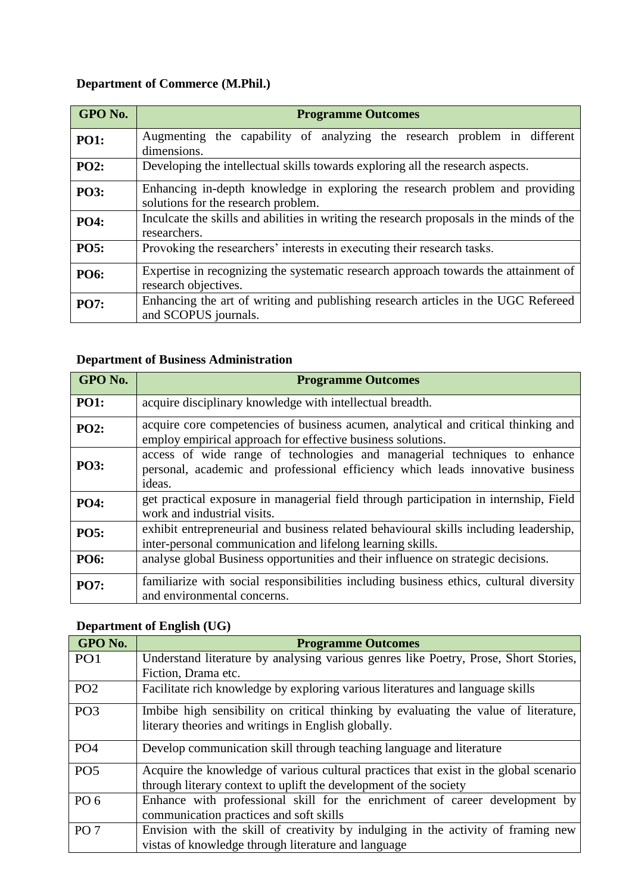## **Department of Commerce (M.Phil.)**

| GPO No.     | <b>Programme Outcomes</b>                                                                                           |
|-------------|---------------------------------------------------------------------------------------------------------------------|
| <b>PO1:</b> | Augmenting the capability of analyzing the research problem in different<br>dimensions.                             |
| <b>PO2:</b> | Developing the intellectual skills towards exploring all the research aspects.                                      |
| <b>PO3:</b> | Enhancing in-depth knowledge in exploring the research problem and providing<br>solutions for the research problem. |
| <b>PO4:</b> | Inculcate the skills and abilities in writing the research proposals in the minds of the<br>researchers.            |
| <b>PO5:</b> | Provoking the researchers' interests in executing their research tasks.                                             |
| <b>PO6:</b> | Expertise in recognizing the systematic research approach towards the attainment of<br>research objectives.         |
| <b>PO7:</b> | Enhancing the art of writing and publishing research articles in the UGC Refereed<br>and SCOPUS journals.           |

### **Department of Business Administration**

| GPO No.     | <b>Programme Outcomes</b>                                                                                                                                             |
|-------------|-----------------------------------------------------------------------------------------------------------------------------------------------------------------------|
| <b>PO1:</b> | acquire disciplinary knowledge with intellectual breadth.                                                                                                             |
| <b>PO2:</b> | acquire core competencies of business acumen, analytical and critical thinking and<br>employ empirical approach for effective business solutions.                     |
| <b>PO3:</b> | access of wide range of technologies and managerial techniques to enhance<br>personal, academic and professional efficiency which leads innovative business<br>ideas. |
| <b>PO4:</b> | get practical exposure in managerial field through participation in internship, Field<br>work and industrial visits.                                                  |
| <b>PO5:</b> | exhibit entrepreneurial and business related behavioural skills including leadership,<br>inter-personal communication and lifelong learning skills.                   |
| <b>PO6:</b> | analyse global Business opportunities and their influence on strategic decisions.                                                                                     |
| <b>PO7:</b> | familiarize with social responsibilities including business ethics, cultural diversity<br>and environmental concerns.                                                 |

## **Department of English (UG)**

| GPO No.         | <b>Programme Outcomes</b>                                                                                                                  |
|-----------------|--------------------------------------------------------------------------------------------------------------------------------------------|
| PO <sub>1</sub> | Understand literature by analysing various genres like Poetry, Prose, Short Stories,                                                       |
|                 | Fiction, Drama etc.                                                                                                                        |
| PO <sub>2</sub> | Facilitate rich knowledge by exploring various literatures and language skills                                                             |
| PO <sub>3</sub> | Imbibe high sensibility on critical thinking by evaluating the value of literature,<br>literary theories and writings in English globally. |
| PO <sub>4</sub> | Develop communication skill through teaching language and literature                                                                       |
| PO <sub>5</sub> | Acquire the knowledge of various cultural practices that exist in the global scenario                                                      |
|                 | through literary context to uplift the development of the society                                                                          |
| PO <sub>6</sub> | Enhance with professional skill for the enrichment of career development by                                                                |
|                 | communication practices and soft skills                                                                                                    |
| PO <sub>7</sub> | Envision with the skill of creativity by indulging in the activity of framing new                                                          |
|                 | vistas of knowledge through literature and language                                                                                        |